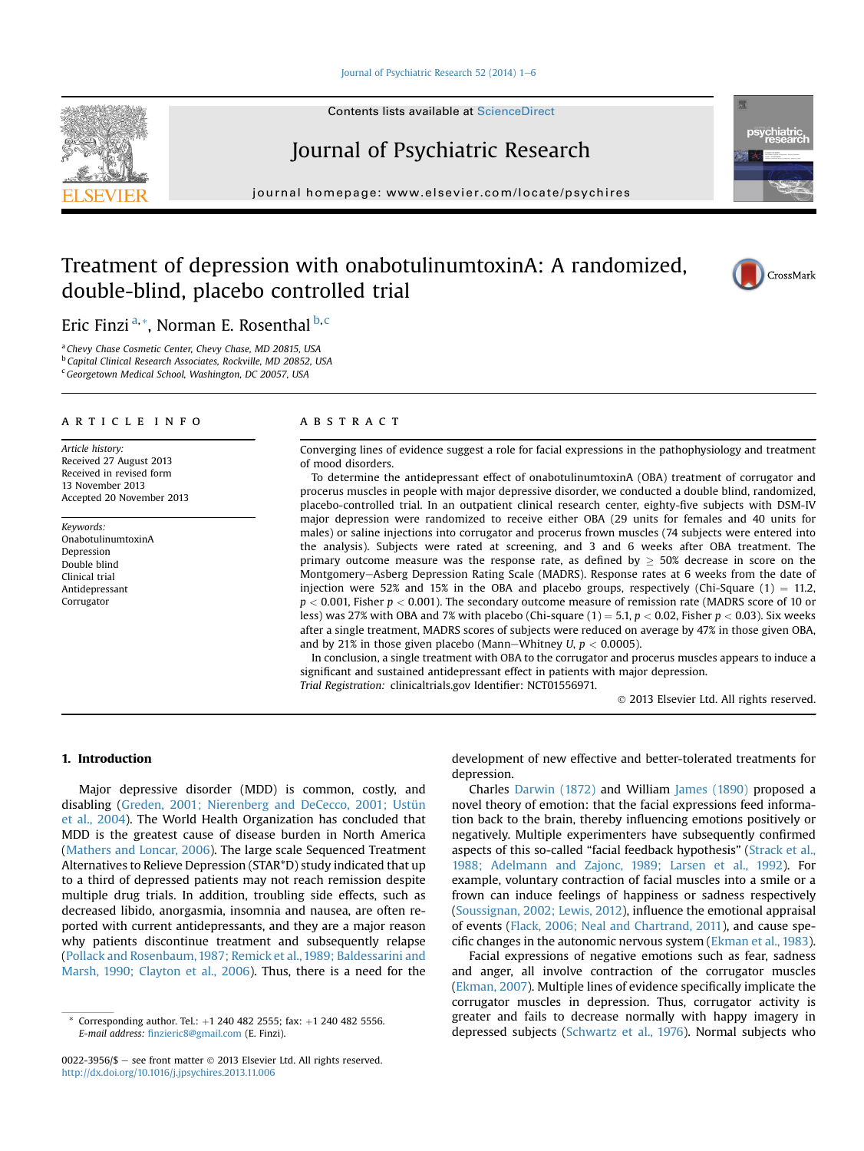#### Journal of Psychiatric Research 52 (2014)  $1-6$  $1-6$

Contents lists available at ScienceDirect

# Journal of Psychiatric Research

 $j<sub>i</sub>$  is a homepage: where  $i<sub>i</sub>$  is a company company

# Treatment of depression with onabotulinumtoxinA: A randomized, double-blind, placebo controlled trial



Eric Finzi<sup>a,\*</sup>, Norman E. Rosenthal  $b, c$ 

<sup>a</sup> Chevy Chase Cosmetic Center, Chevy Chase, MD 20815, USA <sup>b</sup> Capital Clinical Research Associates, Rockville, MD 20852, USA <sup>c</sup> Georgetown Medical School, Washington, DC 20057, USA

#### article info

Article history: Received 27 August 2013 Received in revised form 13 November 2013 Accepted 20 November 2013

Keywords: OnabotulinumtoxinA Depression Double blind Clinical trial Antidepressant Corrugator

## **ABSTRACT**

Converging lines of evidence suggest a role for facial expressions in the pathophysiology and treatment of mood disorders.

To determine the antidepressant effect of onabotulinumtoxinA (OBA) treatment of corrugator and procerus muscles in people with major depressive disorder, we conducted a double blind, randomized, placebo-controlled trial. In an outpatient clinical research center, eighty-five subjects with DSM-IV major depression were randomized to receive either OBA (29 units for females and 40 units for males) or saline injections into corrugator and procerus frown muscles (74 subjects were entered into the analysis). Subjects were rated at screening, and 3 and 6 weeks after OBA treatment. The primary outcome measure was the response rate, as defined by  $\geq$  50% decrease in score on the Montgomery-Asberg Depression Rating Scale (MADRS). Response rates at 6 weeks from the date of injection were 52% and 15% in the OBA and placebo groups, respectively (Chi-Square  $(1) = 11.2$ ,  $p < 0.001$ , Fisher  $p < 0.001$ ). The secondary outcome measure of remission rate (MADRS score of 10 or less) was 27% with OBA and 7% with placebo (Chi-square (1) = 5.1,  $p < 0.02$ , Fisher  $p < 0.03$ ). Six weeks after a single treatment, MADRS scores of subjects were reduced on average by 47% in those given OBA, and by 21% in those given placebo (Mann–Whitney  $U, p < 0.0005$ ).

In conclusion, a single treatment with OBA to the corrugator and procerus muscles appears to induce a significant and sustained antidepressant effect in patients with major depression. Trial Registration: clinicaltrials.gov Identifier: NCT01556971.

2013 Elsevier Ltd. All rights reserved.

## 1. Introduction

Major depressive disorder (MDD) is common, costly, and disabling ([Greden, 2001; Nierenberg and DeCecco, 2001; Ustün](#page-5-0) [et al., 2004](#page-5-0)). The World Health Organization has concluded that MDD is the greatest cause of disease burden in North America ([Mathers and Loncar, 2006\)](#page-5-0). The large scale Sequenced Treatment Alternatives to Relieve Depression (STAR\*D) study indicated that up to a third of depressed patients may not reach remission despite multiple drug trials. In addition, troubling side effects, such as decreased libido, anorgasmia, insomnia and nausea, are often reported with current antidepressants, and they are a major reason why patients discontinue treatment and subsequently relapse ([Pollack and Rosenbaum, 1987; Remick et al., 1989; Baldessarini and](#page-5-0) [Marsh, 1990; Clayton et al., 2006](#page-5-0)). Thus, there is a need for the

0022-3956/\$  $-$  see front matter  $\odot$  2013 Elsevier Ltd. All rights reserved. <http://dx.doi.org/10.1016/j.jpsychires.2013.11.006>

development of new effective and better-tolerated treatments for depression.

Charles [Darwin \(1872\)](#page-5-0) and William [James \(1890\)](#page-5-0) proposed a novel theory of emotion: that the facial expressions feed information back to the brain, thereby influencing emotions positively or negatively. Multiple experimenters have subsequently confirmed aspects of this so-called "facial feedback hypothesis" ([Strack et al.,](#page-5-0) [1988; Adelmann and Zajonc, 1989; Larsen et al., 1992\)](#page-5-0). For example, voluntary contraction of facial muscles into a smile or a frown can induce feelings of happiness or sadness respectively ([Soussignan, 2002; Lewis, 2012](#page-5-0)), influence the emotional appraisal of events [\(Flack, 2006; Neal and Chartrand, 2011\)](#page-5-0), and cause specific changes in the autonomic nervous system [\(Ekman et al., 1983\)](#page-5-0).

Facial expressions of negative emotions such as fear, sadness and anger, all involve contraction of the corrugator muscles ([Ekman, 2007\)](#page-5-0). Multiple lines of evidence specifically implicate the corrugator muscles in depression. Thus, corrugator activity is greater and fails to decrease normally with happy imagery in depressed subjects ([Schwartz et al., 1976](#page-5-0)). Normal subjects who



Corresponding author. Tel.:  $+1$  240 482 2555; fax:  $+1$  240 482 5556. E-mail address: fi[nzieric8@gmail.com](mailto:finzieric8@gmail.com) (E. Finzi).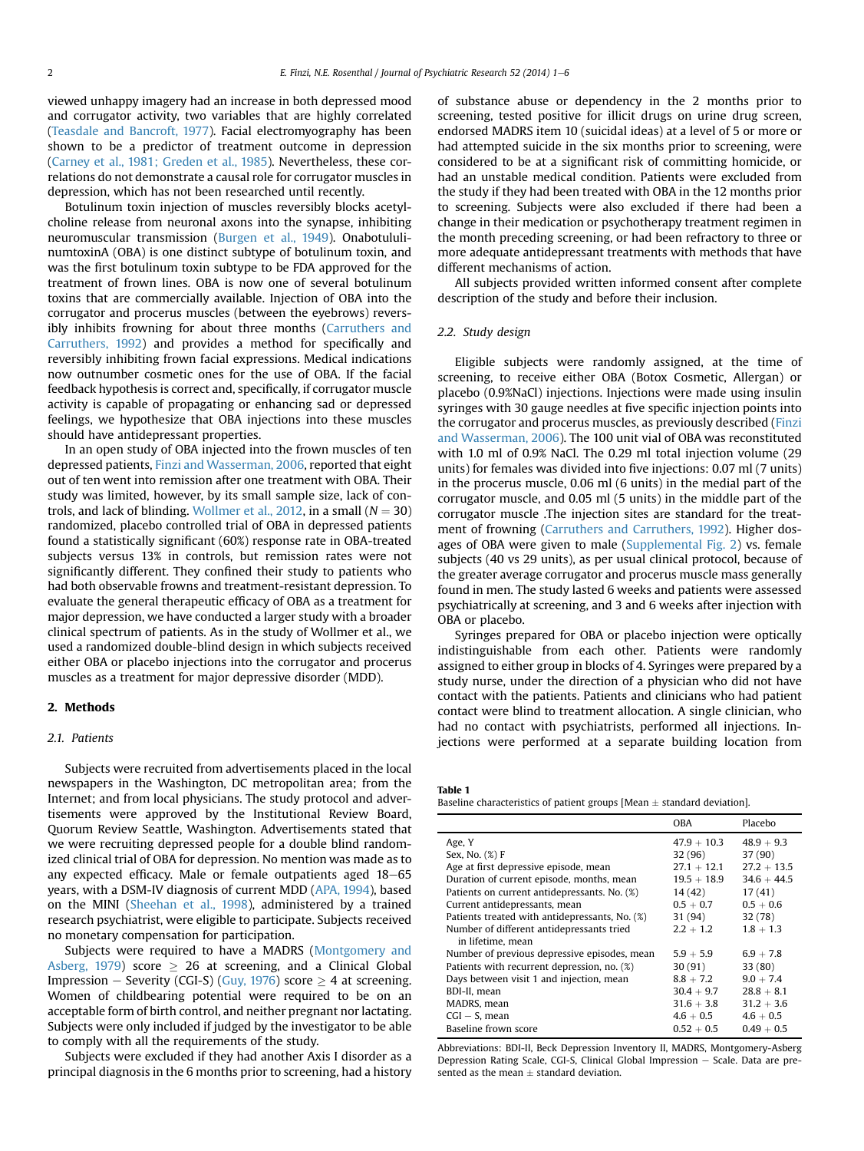<span id="page-1-0"></span>viewed unhappy imagery had an increase in both depressed mood and corrugator activity, two variables that are highly correlated ([Teasdale and Bancroft, 1977](#page-5-0)). Facial electromyography has been shown to be a predictor of treatment outcome in depression ([Carney et al., 1981; Greden et al., 1985](#page-5-0)). Nevertheless, these correlations do not demonstrate a causal role for corrugator muscles in depression, which has not been researched until recently.

Botulinum toxin injection of muscles reversibly blocks acetylcholine release from neuronal axons into the synapse, inhibiting neuromuscular transmission [\(Burgen et al., 1949\)](#page-5-0). OnabotululinumtoxinA (OBA) is one distinct subtype of botulinum toxin, and was the first botulinum toxin subtype to be FDA approved for the treatment of frown lines. OBA is now one of several botulinum toxins that are commercially available. Injection of OBA into the corrugator and procerus muscles (between the eyebrows) reversibly inhibits frowning for about three months [\(Carruthers and](#page-5-0) [Carruthers, 1992\)](#page-5-0) and provides a method for specifically and reversibly inhibiting frown facial expressions. Medical indications now outnumber cosmetic ones for the use of OBA. If the facial feedback hypothesis is correct and, specifically, if corrugator muscle activity is capable of propagating or enhancing sad or depressed feelings, we hypothesize that OBA injections into these muscles should have antidepressant properties.

In an open study of OBA injected into the frown muscles of ten depressed patients, [Finzi and Wasserman, 2006,](#page-5-0) reported that eight out of ten went into remission after one treatment with OBA. Their study was limited, however, by its small sample size, lack of con-trols, and lack of blinding. [Wollmer et al., 2012,](#page-5-0) in a small  $(N = 30)$ randomized, placebo controlled trial of OBA in depressed patients found a statistically significant (60%) response rate in OBA-treated subjects versus 13% in controls, but remission rates were not significantly different. They confined their study to patients who had both observable frowns and treatment-resistant depression. To evaluate the general therapeutic efficacy of OBA as a treatment for major depression, we have conducted a larger study with a broader clinical spectrum of patients. As in the study of Wollmer et al., we used a randomized double-blind design in which subjects received either OBA or placebo injections into the corrugator and procerus muscles as a treatment for major depressive disorder (MDD).

## 2. Methods

#### 2.1. Patients

Subjects were recruited from advertisements placed in the local newspapers in the Washington, DC metropolitan area; from the Internet; and from local physicians. The study protocol and advertisements were approved by the Institutional Review Board, Quorum Review Seattle, Washington. Advertisements stated that we were recruiting depressed people for a double blind randomized clinical trial of OBA for depression. No mention was made as to any expected efficacy. Male or female outpatients aged  $18-65$ years, with a DSM-IV diagnosis of current MDD [\(APA, 1994\)](#page-5-0), based on the MINI ([Sheehan et al., 1998\)](#page-5-0), administered by a trained research psychiatrist, were eligible to participate. Subjects received no monetary compensation for participation.

Subjects were required to have a MADRS ([Montgomery and](#page-5-0) [Asberg, 1979](#page-5-0)) score  $\geq$  26 at screening, and a Clinical Global Impression – Severity (CGI-S) [\(Guy, 1976](#page-5-0)) score  $\geq$  4 at screening. Women of childbearing potential were required to be on an acceptable form of birth control, and neither pregnant nor lactating. Subjects were only included if judged by the investigator to be able to comply with all the requirements of the study.

Subjects were excluded if they had another Axis I disorder as a principal diagnosis in the 6 months prior to screening, had a history of substance abuse or dependency in the 2 months prior to screening, tested positive for illicit drugs on urine drug screen, endorsed MADRS item 10 (suicidal ideas) at a level of 5 or more or had attempted suicide in the six months prior to screening, were considered to be at a significant risk of committing homicide, or had an unstable medical condition. Patients were excluded from the study if they had been treated with OBA in the 12 months prior to screening. Subjects were also excluded if there had been a change in their medication or psychotherapy treatment regimen in the month preceding screening, or had been refractory to three or more adequate antidepressant treatments with methods that have different mechanisms of action.

All subjects provided written informed consent after complete description of the study and before their inclusion.

# 2.2. Study design

Eligible subjects were randomly assigned, at the time of screening, to receive either OBA (Botox Cosmetic, Allergan) or placebo (0.9%NaCl) injections. Injections were made using insulin syringes with 30 gauge needles at five specific injection points into the corrugator and procerus muscles, as previously described ([Finzi](#page-5-0) [and Wasserman, 2006\)](#page-5-0). The 100 unit vial of OBA was reconstituted with 1.0 ml of 0.9% NaCl. The 0.29 ml total injection volume (29 units) for females was divided into five injections: 0.07 ml (7 units) in the procerus muscle, 0.06 ml (6 units) in the medial part of the corrugator muscle, and 0.05 ml (5 units) in the middle part of the corrugator muscle .The injection sites are standard for the treatment of frowning ([Carruthers and Carruthers, 1992](#page-5-0)). Higher dosages of OBA were given to male (Supplemental Fig. 2) vs. female subjects (40 vs 29 units), as per usual clinical protocol, because of the greater average corrugator and procerus muscle mass generally found in men. The study lasted 6 weeks and patients were assessed psychiatrically at screening, and 3 and 6 weeks after injection with OBA or placebo.

Syringes prepared for OBA or placebo injection were optically indistinguishable from each other. Patients were randomly assigned to either group in blocks of 4. Syringes were prepared by a study nurse, under the direction of a physician who did not have contact with the patients. Patients and clinicians who had patient contact were blind to treatment allocation. A single clinician, who had no contact with psychiatrists, performed all injections. Injections were performed at a separate building location from

Table 1

| Baseline characteristics of patient groups [Mean $\pm$ standard deviation] |  |
|----------------------------------------------------------------------------|--|
|----------------------------------------------------------------------------|--|

|                                                | <b>OBA</b>    | Placebo       |
|------------------------------------------------|---------------|---------------|
| Age, Y                                         | $47.9 + 10.3$ | $48.9 + 9.3$  |
| Sex, No. (%) F                                 | 32(96)        | 37 (90)       |
| Age at first depressive episode, mean          | $27.1 + 12.1$ | $27.2 + 13.5$ |
| Duration of current episode, months, mean      | $19.5 + 18.9$ | $34.6 + 44.5$ |
| Patients on current antidepressants, No. (%)   | 14 (42)       | 17(41)        |
| Current antidepressants, mean                  | $0.5 + 0.7$   | $0.5 + 0.6$   |
| Patients treated with antidepressants, No. (%) | 31 (94)       | 32(78)        |
| Number of different antidepressants tried      | $2.2 + 1.2$   | $1.8 + 1.3$   |
| in lifetime, mean                              |               |               |
| Number of previous depressive episodes, mean   | $5.9 + 5.9$   | $6.9 + 7.8$   |
| Patients with recurrent depression, no. (%)    | 30(91)        | 33(80)        |
| Days between visit 1 and injection, mean       | $8.8 + 7.2$   | $9.0 + 7.4$   |
| BDI-II, mean                                   | $30.4 + 9.7$  | $28.8 + 8.1$  |
| MADRS, mean                                    | $31.6 + 3.8$  | $31.2 + 3.6$  |
| $CGI - S.$ mean                                | $4.6 + 0.5$   | $4.6 + 0.5$   |
| Baseline frown score                           | $0.52 + 0.5$  | $0.49 + 0.5$  |

Abbreviations: BDI-II, Beck Depression Inventory II, MADRS, Montgomery-Asberg Depression Rating Scale, CGI-S, Clinical Global Impression - Scale. Data are presented as the mean  $\pm$  standard deviation.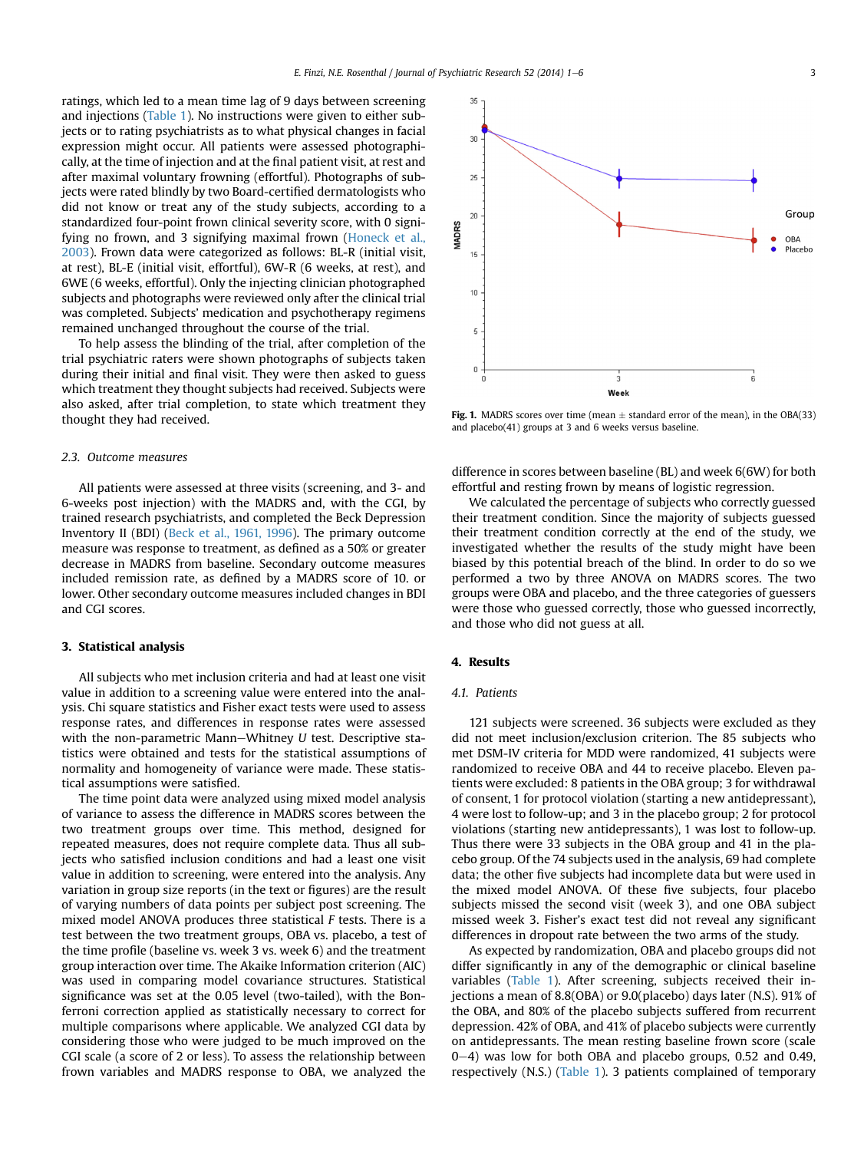<span id="page-2-0"></span>ratings, which led to a mean time lag of 9 days between screening and injections ([Table 1\)](#page-1-0). No instructions were given to either subjects or to rating psychiatrists as to what physical changes in facial expression might occur. All patients were assessed photographically, at the time of injection and at the final patient visit, at rest and after maximal voluntary frowning (effortful). Photographs of subjects were rated blindly by two Board-certified dermatologists who did not know or treat any of the study subjects, according to a standardized four-point frown clinical severity score, with 0 signifying no frown, and 3 signifying maximal frown ([Honeck et al.,](#page-5-0) [2003\)](#page-5-0). Frown data were categorized as follows: BL-R (initial visit, at rest), BL-E (initial visit, effortful), 6W-R (6 weeks, at rest), and 6WE (6 weeks, effortful). Only the injecting clinician photographed subjects and photographs were reviewed only after the clinical trial was completed. Subjects' medication and psychotherapy regimens remained unchanged throughout the course of the trial.

To help assess the blinding of the trial, after completion of the trial psychiatric raters were shown photographs of subjects taken during their initial and final visit. They were then asked to guess which treatment they thought subjects had received. Subjects were also asked, after trial completion, to state which treatment they thought they had received.

#### 2.3. Outcome measures

All patients were assessed at three visits (screening, and 3- and 6-weeks post injection) with the MADRS and, with the CGI, by trained research psychiatrists, and completed the Beck Depression Inventory II (BDI) [\(Beck et al., 1961, 1996\)](#page-5-0). The primary outcome measure was response to treatment, as defined as a 50% or greater decrease in MADRS from baseline. Secondary outcome measures included remission rate, as defined by a MADRS score of 10. or lower. Other secondary outcome measures included changes in BDI and CGI scores.

#### 3. Statistical analysis

All subjects who met inclusion criteria and had at least one visit value in addition to a screening value were entered into the analysis. Chi square statistics and Fisher exact tests were used to assess response rates, and differences in response rates were assessed with the non-parametric Mann-Whitney  $U$  test. Descriptive statistics were obtained and tests for the statistical assumptions of normality and homogeneity of variance were made. These statistical assumptions were satisfied.

The time point data were analyzed using mixed model analysis of variance to assess the difference in MADRS scores between the two treatment groups over time. This method, designed for repeated measures, does not require complete data. Thus all subjects who satisfied inclusion conditions and had a least one visit value in addition to screening, were entered into the analysis. Any variation in group size reports (in the text or figures) are the result of varying numbers of data points per subject post screening. The mixed model ANOVA produces three statistical F tests. There is a test between the two treatment groups, OBA vs. placebo, a test of the time profile (baseline vs. week 3 vs. week 6) and the treatment group interaction over time. The Akaike Information criterion (AIC) was used in comparing model covariance structures. Statistical significance was set at the 0.05 level (two-tailed), with the Bonferroni correction applied as statistically necessary to correct for multiple comparisons where applicable. We analyzed CGI data by considering those who were judged to be much improved on the CGI scale (a score of 2 or less). To assess the relationship between frown variables and MADRS response to OBA, we analyzed the



Fig. 1. MADRS scores over time (mean  $\pm$  standard error of the mean), in the OBA(33) and placebo(41) groups at 3 and 6 weeks versus baseline.

difference in scores between baseline (BL) and week 6(6W) for both effortful and resting frown by means of logistic regression.

We calculated the percentage of subjects who correctly guessed their treatment condition. Since the majority of subjects guessed their treatment condition correctly at the end of the study, we investigated whether the results of the study might have been biased by this potential breach of the blind. In order to do so we performed a two by three ANOVA on MADRS scores. The two groups were OBA and placebo, and the three categories of guessers were those who guessed correctly, those who guessed incorrectly, and those who did not guess at all.

## 4. Results

## 4.1. Patients

121 subjects were screened. 36 subjects were excluded as they did not meet inclusion/exclusion criterion. The 85 subjects who met DSM-IV criteria for MDD were randomized, 41 subjects were randomized to receive OBA and 44 to receive placebo. Eleven patients were excluded: 8 patients in the OBA group; 3 for withdrawal of consent, 1 for protocol violation (starting a new antidepressant), 4 were lost to follow-up; and 3 in the placebo group; 2 for protocol violations (starting new antidepressants), 1 was lost to follow-up. Thus there were 33 subjects in the OBA group and 41 in the placebo group. Of the 74 subjects used in the analysis, 69 had complete data; the other five subjects had incomplete data but were used in the mixed model ANOVA. Of these five subjects, four placebo subjects missed the second visit (week 3), and one OBA subject missed week 3. Fisher's exact test did not reveal any significant differences in dropout rate between the two arms of the study.

As expected by randomization, OBA and placebo groups did not differ significantly in any of the demographic or clinical baseline variables ([Table 1\)](#page-1-0). After screening, subjects received their injections a mean of 8.8(OBA) or 9.0(placebo) days later (N.S). 91% of the OBA, and 80% of the placebo subjects suffered from recurrent depression. 42% of OBA, and 41% of placebo subjects were currently on antidepressants. The mean resting baseline frown score (scale  $0-4$ ) was low for both OBA and placebo groups, 0.52 and 0.49, respectively (N.S.) [\(Table 1](#page-1-0)). 3 patients complained of temporary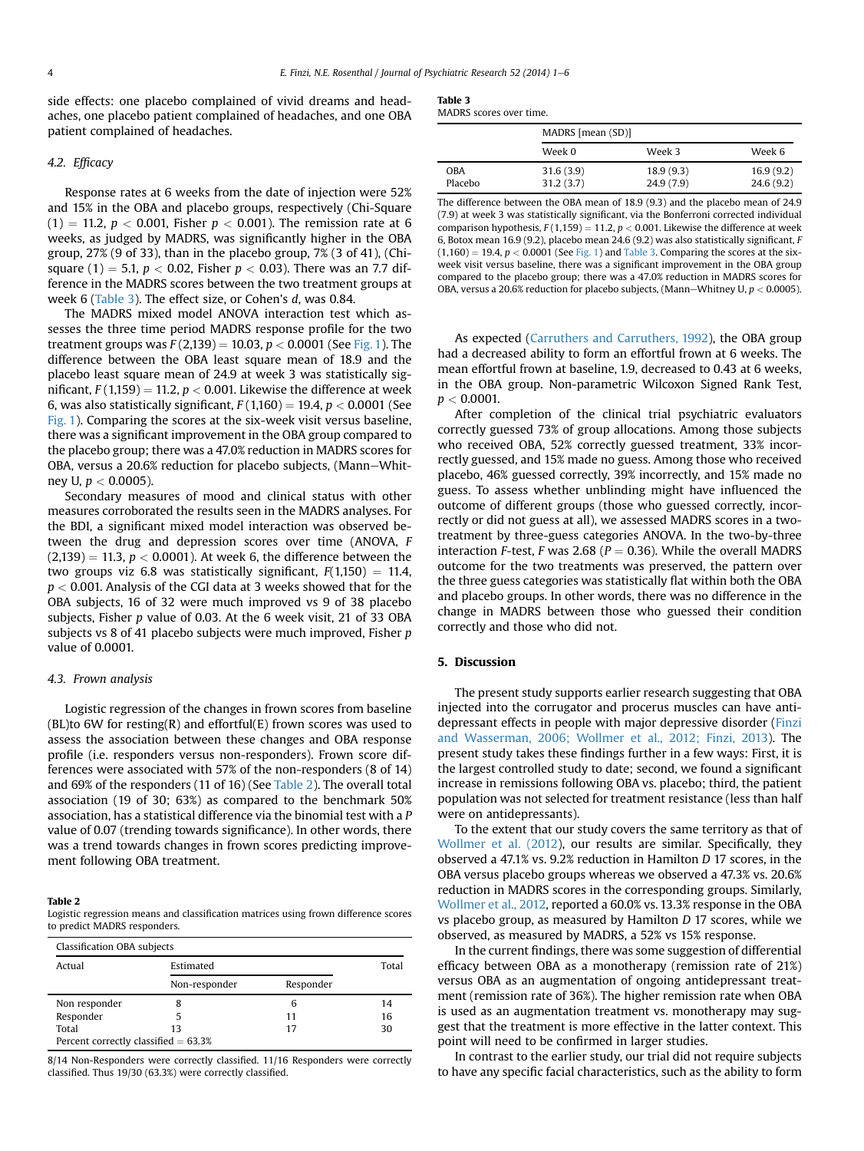side effects: one placebo complained of vivid dreams and headaches, one placebo patient complained of headaches, and one OBA patient complained of headaches.

#### 4.2. Efficacy

Response rates at 6 weeks from the date of injection were 52% and 15% in the OBA and placebo groups, respectively (Chi-Square  $(1) = 11.2, p < 0.001$ , Fisher  $p < 0.001$ ). The remission rate at 6 weeks, as judged by MADRS, was significantly higher in the OBA group, 27% (9 of 33), than in the placebo group, 7% (3 of 41), (Chisquare (1) = 5.1,  $p < 0.02$ , Fisher  $p < 0.03$ ). There was an 7.7 difference in the MADRS scores between the two treatment groups at week 6 (Table 3). The effect size, or Cohen's d, was 0.84.

The MADRS mixed model ANOVA interaction test which assesses the three time period MADRS response profile for the two treatment groups was  $F(2,139) = 10.03$ ,  $p < 0.0001$  (See [Fig. 1](#page-2-0)). The difference between the OBA least square mean of 18.9 and the placebo least square mean of 24.9 at week 3 was statistically significant,  $F(1,159) = 11.2$ ,  $p < 0.001$ . Likewise the difference at week 6, was also statistically significant,  $F(1,160) = 19.4$ ,  $p < 0.0001$  (See [Fig. 1](#page-2-0)). Comparing the scores at the six-week visit versus baseline, there was a significant improvement in the OBA group compared to the placebo group; there was a 47.0% reduction in MADRS scores for OBA, versus a 20.6% reduction for placebo subjects, (Mann-Whitney U,  $p < 0.0005$ ).

Secondary measures of mood and clinical status with other measures corroborated the results seen in the MADRS analyses. For the BDI, a significant mixed model interaction was observed between the drug and depression scores over time (ANOVA, F  $(2,139) = 11.3, p < 0.0001$ . At week 6, the difference between the two groups viz 6.8 was statistically significant,  $F(1,150) = 11.4$ ,  $p < 0.001$ . Analysis of the CGI data at 3 weeks showed that for the OBA subjects, 16 of 32 were much improved vs 9 of 38 placebo subjects, Fisher p value of 0.03. At the 6 week visit, 21 of 33 OBA subjects vs 8 of 41 placebo subjects were much improved, Fisher p value of 0.0001.

#### 4.3. Frown analysis

Logistic regression of the changes in frown scores from baseline (BL)to 6W for resting(R) and effortful(E) frown scores was used to assess the association between these changes and OBA response profile (i.e. responders versus non-responders). Frown score differences were associated with 57% of the non-responders (8 of 14) and 69% of the responders (11 of 16) (See Table 2). The overall total association (19 of 30; 63%) as compared to the benchmark 50% association, has a statistical difference via the binomial test with a P value of 0.07 (trending towards significance). In other words, there was a trend towards changes in frown scores predicting improvement following OBA treatment.

#### Table 2

Logistic regression means and classification matrices using frown difference scores to predict MADRS responders.

| Actual        | Estimated     |           | Total |
|---------------|---------------|-----------|-------|
|               | Non-responder | Responder |       |
| Non responder | 8             | 6         | 14    |
| Responder     |               | 11        | 16    |
| Total         | 13            | 17        | 30    |

8/14 Non-Responders were correctly classified. 11/16 Responders were correctly classified. Thus 19/30 (63.3%) were correctly classified.

|--|

| MADRS scores over time. |  |  |
|-------------------------|--|--|
|                         |  |  |

|                | MADRS [mean (SD)]      |                        |                        |
|----------------|------------------------|------------------------|------------------------|
|                | Week 0                 | Week 3                 | Week 6                 |
| OBA<br>Placebo | 31.6(3.9)<br>31.2(3.7) | 18.9(9.3)<br>24.9(7.9) | 16.9(9.2)<br>24.6(9.2) |

The difference between the OBA mean of 18.9 (9.3) and the placebo mean of 24.9 (7.9) at week 3 was statistically significant, via the Bonferroni corrected individual comparison hypothesis,  $F(1,159) = 11.2$ ,  $p < 0.001$ . Likewise the difference at week 6, Botox mean 16.9 (9.2), placebo mean 24.6 (9.2) was also statistically significant, F  $(1,160) = 19.4$ ,  $p < 0.0001$  (See [Fig. 1](#page-2-0)) and Table 3. Comparing the scores at the sixweek visit versus baseline, there was a significant improvement in the OBA group compared to the placebo group; there was a 47.0% reduction in MADRS scores for OBA, versus a 20.6% reduction for placebo subjects, (Mann–Whitney U,  $p < 0.0005$ ).

As expected ([Carruthers and Carruthers, 1992](#page-5-0)), the OBA group had a decreased ability to form an effortful frown at 6 weeks. The mean effortful frown at baseline, 1.9, decreased to 0.43 at 6 weeks, in the OBA group. Non-parametric Wilcoxon Signed Rank Test,  $p < 0.0001$ .

After completion of the clinical trial psychiatric evaluators correctly guessed 73% of group allocations. Among those subjects who received OBA, 52% correctly guessed treatment, 33% incorrectly guessed, and 15% made no guess. Among those who received placebo, 46% guessed correctly, 39% incorrectly, and 15% made no guess. To assess whether unblinding might have influenced the outcome of different groups (those who guessed correctly, incorrectly or did not guess at all), we assessed MADRS scores in a twotreatment by three-guess categories ANOVA. In the two-by-three interaction *F*-test, *F* was 2.68 ( $P = 0.36$ ). While the overall MADRS outcome for the two treatments was preserved, the pattern over the three guess categories was statistically flat within both the OBA and placebo groups. In other words, there was no difference in the change in MADRS between those who guessed their condition correctly and those who did not.

#### 5. Discussion

The present study supports earlier research suggesting that OBA injected into the corrugator and procerus muscles can have antidepressant effects in people with major depressive disorder ([Finzi](#page-5-0) [and Wasserman, 2006; Wollmer et al., 2012; Finzi, 2013\)](#page-5-0). The present study takes these findings further in a few ways: First, it is the largest controlled study to date; second, we found a significant increase in remissions following OBA vs. placebo; third, the patient population was not selected for treatment resistance (less than half were on antidepressants).

To the extent that our study covers the same territory as that of [Wollmer et al. \(2012\)](#page-5-0), our results are similar. Specifically, they observed a 47.1% vs. 9.2% reduction in Hamilton D 17 scores, in the OBA versus placebo groups whereas we observed a 47.3% vs. 20.6% reduction in MADRS scores in the corresponding groups. Similarly, [Wollmer et al., 2012](#page-5-0), reported a 60.0% vs. 13.3% response in the OBA vs placebo group, as measured by Hamilton D 17 scores, while we observed, as measured by MADRS, a 52% vs 15% response.

In the current findings, there was some suggestion of differential efficacy between OBA as a monotherapy (remission rate of 21%) versus OBA as an augmentation of ongoing antidepressant treatment (remission rate of 36%). The higher remission rate when OBA is used as an augmentation treatment vs. monotherapy may suggest that the treatment is more effective in the latter context. This point will need to be confirmed in larger studies.

In contrast to the earlier study, our trial did not require subjects to have any specific facial characteristics, such as the ability to form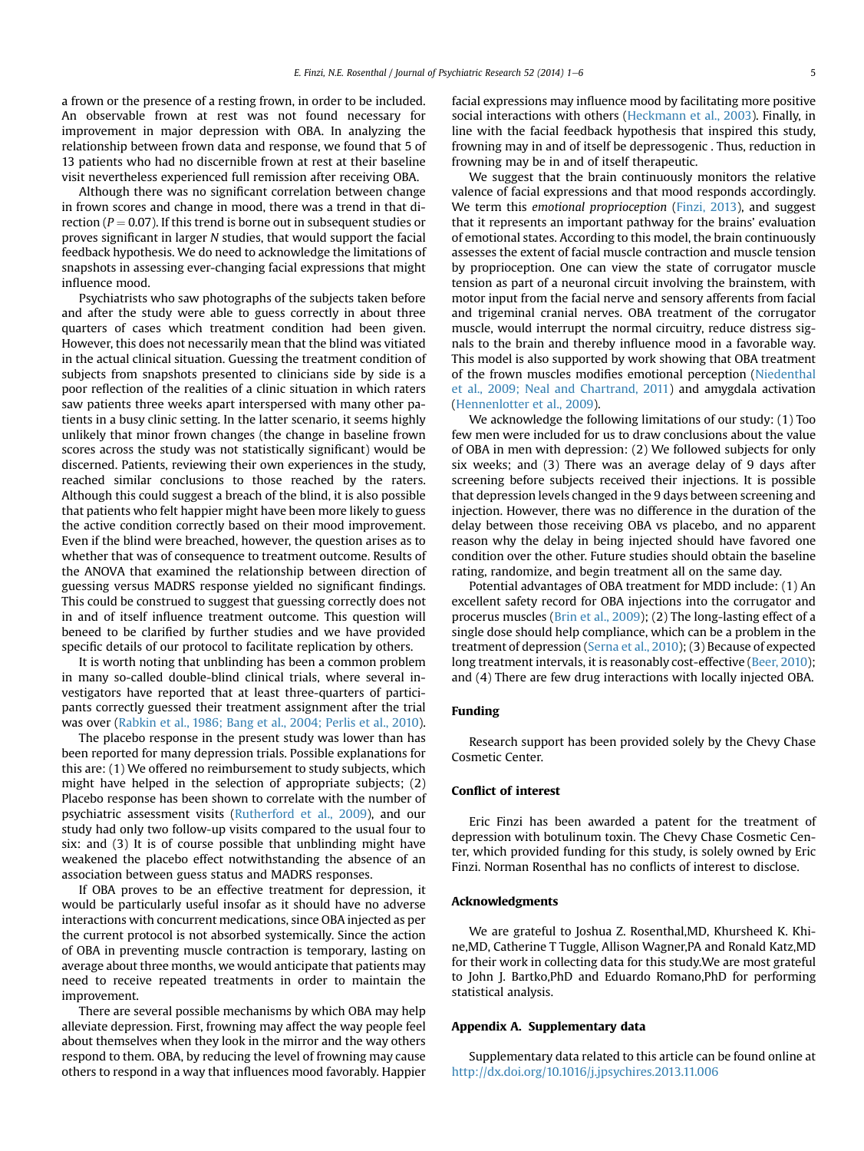a frown or the presence of a resting frown, in order to be included. An observable frown at rest was not found necessary for improvement in major depression with OBA. In analyzing the relationship between frown data and response, we found that 5 of 13 patients who had no discernible frown at rest at their baseline visit nevertheless experienced full remission after receiving OBA.

Although there was no significant correlation between change in frown scores and change in mood, there was a trend in that direction ( $P = 0.07$ ). If this trend is borne out in subsequent studies or proves significant in larger N studies, that would support the facial feedback hypothesis. We do need to acknowledge the limitations of snapshots in assessing ever-changing facial expressions that might influence mood.

Psychiatrists who saw photographs of the subjects taken before and after the study were able to guess correctly in about three quarters of cases which treatment condition had been given. However, this does not necessarily mean that the blind was vitiated in the actual clinical situation. Guessing the treatment condition of subjects from snapshots presented to clinicians side by side is a poor reflection of the realities of a clinic situation in which raters saw patients three weeks apart interspersed with many other patients in a busy clinic setting. In the latter scenario, it seems highly unlikely that minor frown changes (the change in baseline frown scores across the study was not statistically significant) would be discerned. Patients, reviewing their own experiences in the study, reached similar conclusions to those reached by the raters. Although this could suggest a breach of the blind, it is also possible that patients who felt happier might have been more likely to guess the active condition correctly based on their mood improvement. Even if the blind were breached, however, the question arises as to whether that was of consequence to treatment outcome. Results of the ANOVA that examined the relationship between direction of guessing versus MADRS response yielded no significant findings. This could be construed to suggest that guessing correctly does not in and of itself influence treatment outcome. This question will beneed to be clarified by further studies and we have provided specific details of our protocol to facilitate replication by others.

It is worth noting that unblinding has been a common problem in many so-called double-blind clinical trials, where several investigators have reported that at least three-quarters of participants correctly guessed their treatment assignment after the trial was over ([Rabkin et al., 1986; Bang et al., 2004; Perlis et al., 2010\)](#page-5-0).

The placebo response in the present study was lower than has been reported for many depression trials. Possible explanations for this are: (1) We offered no reimbursement to study subjects, which might have helped in the selection of appropriate subjects; (2) Placebo response has been shown to correlate with the number of psychiatric assessment visits ([Rutherford et al., 2009](#page-5-0)), and our study had only two follow-up visits compared to the usual four to six: and (3) It is of course possible that unblinding might have weakened the placebo effect notwithstanding the absence of an association between guess status and MADRS responses.

If OBA proves to be an effective treatment for depression, it would be particularly useful insofar as it should have no adverse interactions with concurrent medications, since OBA injected as per the current protocol is not absorbed systemically. Since the action of OBA in preventing muscle contraction is temporary, lasting on average about three months, we would anticipate that patients may need to receive repeated treatments in order to maintain the improvement.

There are several possible mechanisms by which OBA may help alleviate depression. First, frowning may affect the way people feel about themselves when they look in the mirror and the way others respond to them. OBA, by reducing the level of frowning may cause others to respond in a way that influences mood favorably. Happier facial expressions may influence mood by facilitating more positive social interactions with others ([Heckmann et al., 2003](#page-5-0)). Finally, in line with the facial feedback hypothesis that inspired this study, frowning may in and of itself be depressogenic . Thus, reduction in frowning may be in and of itself therapeutic.

We suggest that the brain continuously monitors the relative valence of facial expressions and that mood responds accordingly. We term this emotional proprioception ([Finzi, 2013](#page-5-0)), and suggest that it represents an important pathway for the brains' evaluation of emotional states. According to this model, the brain continuously assesses the extent of facial muscle contraction and muscle tension by proprioception. One can view the state of corrugator muscle tension as part of a neuronal circuit involving the brainstem, with motor input from the facial nerve and sensory afferents from facial and trigeminal cranial nerves. OBA treatment of the corrugator muscle, would interrupt the normal circuitry, reduce distress signals to the brain and thereby influence mood in a favorable way. This model is also supported by work showing that OBA treatment of the frown muscles modifies emotional perception ([Niedenthal](#page-5-0) [et al., 2009; Neal and Chartrand, 2011](#page-5-0)) and amygdala activation ([Hennenlotter et al., 2009](#page-5-0)).

We acknowledge the following limitations of our study: (1) Too few men were included for us to draw conclusions about the value of OBA in men with depression: (2) We followed subjects for only six weeks; and (3) There was an average delay of 9 days after screening before subjects received their injections. It is possible that depression levels changed in the 9 days between screening and injection. However, there was no difference in the duration of the delay between those receiving OBA vs placebo, and no apparent reason why the delay in being injected should have favored one condition over the other. Future studies should obtain the baseline rating, randomize, and begin treatment all on the same day.

Potential advantages of OBA treatment for MDD include: (1) An excellent safety record for OBA injections into the corrugator and procerus muscles [\(Brin et al., 2009\)](#page-5-0); (2) The long-lasting effect of a single dose should help compliance, which can be a problem in the treatment of depression ([Serna et al., 2010\)](#page-5-0); (3) Because of expected long treatment intervals, it is reasonably cost-effective [\(Beer, 2010\)](#page-5-0); and (4) There are few drug interactions with locally injected OBA.

#### Funding

Research support has been provided solely by the Chevy Chase Cosmetic Center.

## Conflict of interest

Eric Finzi has been awarded a patent for the treatment of depression with botulinum toxin. The Chevy Chase Cosmetic Center, which provided funding for this study, is solely owned by Eric Finzi. Norman Rosenthal has no conflicts of interest to disclose.

#### Acknowledgments

We are grateful to Joshua Z. Rosenthal,MD, Khursheed K. Khine,MD, Catherine T Tuggle, Allison Wagner,PA and Ronald Katz,MD for their work in collecting data for this study.We are most grateful to John J. Bartko,PhD and Eduardo Romano,PhD for performing statistical analysis.

#### Appendix A. Supplementary data

Supplementary data related to this article can be found online at <http://dx.doi.org/10.1016/j.jpsychires.2013.11.006>